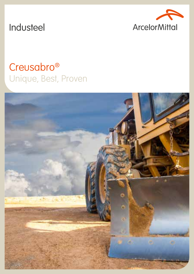

# Industeel

# Creusabro<sup>®</sup> Unique, Best, Proven

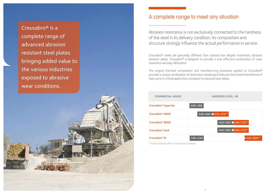Abrasion resistance is not exclusively connected to the hardness of the steel in its delivery condition. Its composition and structure strongly influence the actual performance in service.

Creusabro® steels are genuinely different than classical low alloyed martensitic abrasion resistant plates. Creusabro® is designed to provide a cost effective combination of wear resistance and easy fabrication.

The original chemical composition and manufacturing processes applied to Creusabro® provides a unique combination of distinctive metallurgical features that extend the lifetime of wear parts in critical applictions compared to classical wear plates.

## A complete range to meet any situation

| Creusabro <sup>®</sup> Superten | 300-380     |
|---------------------------------|-------------|
| Creusabro <sup>®</sup> 4800     | $340 - 4$   |
| Creusabro <sup>®</sup> 8000     |             |
| Creusabro <sup>®</sup> Dual     |             |
| Creusabro <sup>®</sup> M        | $180 - 220$ |



*(1) Surface hardness after in-service work hardening*

Creusabro® is a complete range of advanced abrasion resistant steel plates bringing added value to the various industries exposed to abrasive wear conditions.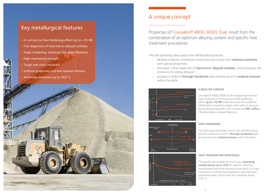## A unique concept

Properties of Creusabro® 4800, 8000, Dual result from the combination of an optimum alloying content and specific heat treatment procedures.

The soft quenching rates used in the mill fabrication practice: • develop a bainite-martensite mixed microstructure with retained austenite

- with special properties.
- stimulate a fine dispersion of **hard micro-alloyed carbides**, which enhance the resistance to sliding abrasion
- produce a uniform through-hardened plate and low level of residual stresses within the plate.



The soft quenching rates used in the mill fabrication practice produce a uniform through-hardened plate and low level of residual stresses within the plate.

## A REACTIVE SURFACE

The grades are suitable for continuous operating temperatures up to 450°C. Specific chemical composition and initial microstructure result in a high resistance to softening compared to classical water quenched steels, which lose their hardness above 220°C.





TEMPERING TIME AT 300 - 450°C



Botton<br>surface

 $\frac{4}{100}$   $\frac{4}{100}$   $\frac{4}{100}$   $\frac{4}{100}$   $\frac{4}{100}$   $\frac{4}{100}$   $\frac{4}{100}$   $\frac{4}{100}$   $\frac{4}{100}$   $\frac{4}{100}$   $\frac{4}{100}$   $\frac{4}{100}$   $\frac{4}{100}$   $\frac{4}{100}$   $\frac{4}{100}$   $\frac{4}{100}$   $\frac{4}{100}$   $\frac{4}{100}$   $\frac{4$ 



Creusabro® 4800, 8000, Dual strongly improve their wear resistance in service by a surface hardening effect up to +70 HB under the action of local plastic deformations caused by impact with rocks or pressure by the abrasive particles. This is known as **TRIP-effect** (Transformation Induced Plasticity).

## DEEP HARDENING

## HIGH TEMPERATURE RESISTANCE

## Key metallurgical features

- In-service surface hardening effect up to +70 HB
- Fine dispersion of hard micro-alloyed carbides
- Deep-hardening, whatever the plate thickness
- High mechanical strength
- Tough and crack-resistant
- Uniform properties and low residual stresses
- Softening resistance up to 450°C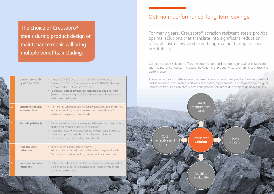## Optimum performance, long-term savings

For many years, Creusabro® abrasion resistant steels provide optimal solutions that translate into significant reduction of total cost of ownership and improvement in operational profitability.

Correct materials selection offers the potential to translate into major savings in fabrication and maintenance costs, increased payload and productivity, and enhanced machine performance.

The minor initial cost difference in the base material is far outweighed by the direct costs of part fabrication, consumables and labor for repairs/replacements, as well as the even higher indirect costs such as inventory costs and production losses due to machine unavailability.

Costeffective part fabrication

design and the state of the state of the state of the state of the state of the state of the state of the state of

**Creusabro<sup>®</sup>** solution

Lower

costs

Machine availability



The choice of Creusabro® steels during product design or maintenance repair will bring multiple benefits, including:

|                | Longer service life<br>by +50 to 100%         | Creusabro <sup>®</sup> 4800 outlasts classical 400-450 HB plates<br>Creusabro <sup>®</sup> 8000 & Dual outlast classical 500-550 HB plates,<br>overlay products, chromium cast irons<br>Substantial weight savings and increased payload potential<br>(lower thickness is required) for the same wear life as standard<br>water quenched plates |
|----------------|-----------------------------------------------|-------------------------------------------------------------------------------------------------------------------------------------------------------------------------------------------------------------------------------------------------------------------------------------------------------------------------------------------------|
| $\overline{2}$ | <b>Structural capacity</b><br>in a wear plate | It offers the toughness and weldability necessary to perform not<br>just as a wear liner, but as a construction material capable to<br>withstand complex structural loads                                                                                                                                                                       |
| 3              | Workshop-friendly                             | • Softer material in the as-delivery condition without compromising<br>on the wear resistance in service conditions<br>• "Dead flat" plate $\rightarrow$ excellent flatness with no residual stresses<br>Uniform properties over the whole plate and thickness<br>Excellent forming and welding characteristics                                 |
| 4              | Heat and wear<br>resistance                   | In-service temperature up to 450°C<br>Reduced Heat Affected Zone on thermal cut edges and welds<br>Can be hot formed without any subsequent heat treatment                                                                                                                                                                                      |
| 5              | Corrosion and wear<br>resistance              | Outperforms classical wear plates or stainless steels exposed to<br>the combined effects of abrasion and corrosion in wet or mild<br>corrosive environment                                                                                                                                                                                      |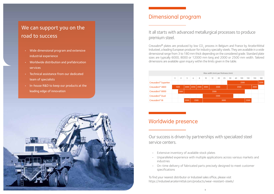

## Dimensional program

It all starts with advanced metallurgical processes to produce premium steel.

Creusabro<sup>®</sup> plates are produced by low  $CO_2$  process in Belgium and France by ArcelorMittal Industeel, a leading European producer for industry specialty steels. They are available in a wide dimensional range from 3 to 180 mm thick depending on the considered grade. Standard plate sizes are typically 6000, 8000 or 12000 mm long and 2000 or 2500 mm width. Tailored dimensions are available upon inquiry within the limits given in the table.



# We can support you on the road to success

|                                 | Max width (mm) per thickness (mm) |      |      |      |      |      |    |      |    |      |      |     |     |      |     |
|---------------------------------|-----------------------------------|------|------|------|------|------|----|------|----|------|------|-----|-----|------|-----|
|                                 | 3                                 | 4    | 5    | 6    | 8    | 10   | 12 | 20   | 25 | 50   | 60   | 100 | 130 | 150  | 180 |
| Creusabro <sup>®</sup> Superten |                                   |      |      |      |      |      |    |      |    | 2500 |      |     |     | 2200 |     |
| Creusabro <sup>®</sup> 4800     |                                   | 1500 | 2000 | 2250 | 2500 | 3000 |    | 3500 |    | 2500 |      |     |     | 2000 |     |
| Creusabro <sup>®</sup> 8000     |                                   | 1500 |      | 2500 |      |      |    |      |    |      |      |     |     |      |     |
| Creusabro <sup>®</sup> Dual     |                                   |      |      |      |      |      |    | 2500 |    |      |      |     |     |      |     |
| Creusabro <sup>®</sup> M        |                                   |      | 2000 |      | 2500 | 3000 |    |      |    |      | 2500 |     |     |      |     |

## Worldwide presence

Our success is driven by partnerships with specialized steel service centers.

- Extensive inventory of available stock plates
- Unparalleled experience with multiple applications across various markets and industries
- On-time delivery of fabricated parts precisely designed to meet customer specifications

To find your nearest distributor or Industeel sales office, please visit https://industeel.arcelormittal.com/products/wear-resistant-steels/

- Wide dimensional program and extensive industrial experience
- Worldwide distribution and prefabrication services
- Technical assistance from our dedicated team of specialists
- In-house R&D to keep our products at the leading edge of innovation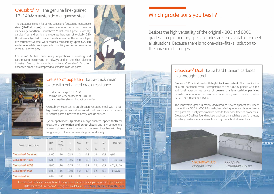

## Which grade suits you best?

Besides the high versatility of the original 4800 and 8000 grades, complementary special grades are also available to meet all situations. Because there is no one-size-fits-all solution to the abrasion challenges.

## Creusabro® Dual Extra hard titanium carbides in a wrought steel

Creusabro<sup>®</sup> Dual is alloyed with **high titanium content**. The combination of a pre-hardened matrix (comparable to the C8000 grade) with the additional abrasion resistance of coarse titanium carbide particles provides superior abrasion resistance under sliding wear conditions, while remaining immune to impacts.

This innovative grade is mainly dedicated to severe applications where conventional 550 to 600 HB steels, hard-facing, overlay plates or hardcast parts are usually implemented despite their poor fracture properties. Creusabro® Dual has found multiple applications such has transfer chutes, vibratory feeder liners, screens, truck tray liners, bucket wear bars...

Creusabro<sup>®</sup> Dual solid plate 20 mm

CCO plate 2-layers plate 9+10 mm

## Creusabro® M The genuine fine-grained 12-14%Mn austenitic manganese steel

Typical applications: lip blades in large buckets, ripper tooth for excavators, **demolition and scrap shears** and any component where high resistance to abrasion is required together with high toughness, crack resistance and a good workability.

| COMMERCIAL GRADE                | <b>UTS</b> | <b>CVN</b><br>$(0^{\circ}C)$ | Ċ    | Mn  | Cr     | Ni     | Mo     | OTHERS          |
|---------------------------------|------------|------------------------------|------|-----|--------|--------|--------|-----------------|
|                                 | MPa        |                              | %    | %   | 96     | %      | %      |                 |
| Creusabro <sup>®</sup> Superten | 1100       | 70                           | 0.18 | 1.2 | 0.7    | 1.5    | 0.5    | Q&T             |
| Creusabro <sup>®</sup> 4800     | 1200       | 45                           | 0.15 | 1.0 | 1.6    | 0.3    | 0.3    | $+ Ti$ , Si, Cu |
| Creusabro <sup>®</sup> 8000     | 1600       | 50                           | 0.25 | 1.2 | 0.7    | 0.5    | 0.3    | + Ti, Si, Cu    |
| Creusabro <sup>®</sup> Dual     | 1600       | 15                           | 0.40 | 1.2 | 0.7    | 0.5    | 0.3    | $+0.6%$ Ti      |
| Creusabro <sup>®</sup> M        | 950        | 140                          | 1.1  | 12  | $\sim$ | $\sim$ | $\sim$ |                 |

For detailed technical description of the grades characteristics, please refer to our product datasheets and Creusabro® user guide available at http://industeel.arcelormittal.com

The outstanding strain hardening capacity of austenitic manganese steel (Hadfield steel) has been recognized for a long time. In its delivery condition, Creusabro® M hot-rolled plate is virtually carbide-free and exhibits a moderate hardness of typically 220 HB. When subjected to impact loads in service, the surface layer of Creusabro® M steel work hardens considerably up to 500 HB and above, while keeping excellent ductility and impact resistance in the bulk of the plate.

Creusabro® M has found many applications in crushing and earthmoving equipment, in railways and in the shot blasting industry. Due to its wrought structure, Creusabro® M offers enhanced properties compared to standard cast Mn parts.



## Creusabro® Superten Extra-thick wear plate with enhanced crack resistance

- production range 50 to 180 mm
- nominal delivery hardness of 340 HB
- guaranteed tensile and impact properties

Creusabro® Superten is an abrasion resistant steel with ultrahigh tensile properties and enhanced crack resistance for massive structural parts submitted to heavy loads in service.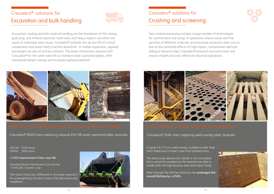Raw mineral processing includes a large number of technologies for comminution and sizing. In operations where coarse and fine particles of different materials are processed, excessive wear occurs due to the combined effects of high impact, compression load and sliding of abrasive feed. Creusabro® prevents excessive wear and ensure smooth and cost-effective industrial operations.



Wear through the full liner thickness has prolonged the overall lifetime by +250%.





# Creusabro® solutions for Crushing and screening

Original 19+12 mm weld overlay studded crusher feed liners failed due to impact load from isolated rocks.

The feed chute relined with CDUAL in 30 mm bolted liners solved the problem as the material was able to handle both the high abrasion wear and impact loads.

Excavation, hauling and bulk material handling are the foundation of the mining, quarrying, and mineral industries. Hard rocks and heavy impacts are often the cause of important wear issues. Creusabro® extends the service life of critical components and avoid costly machine downtime. In mobile equipment, payload and weight are also of primary concern. The lower thicknesses required with Creusabro® for the same wear life as standard water quenched plates, offer substantial weight savings and increased payload potential.



• Creusabro® 8000 liners replacing classical 450 HB water quenched plate, Australia

## Creusabro® solutions for Excavation and bulk handling



450 HB : 2500 hours C8000 : 5600 hours

## +125% improvement in liner wear life.

Estimated Bucket Maintenance Cost Saving: ~ \$ 96,000 / bucket / year

The minor initial cost difference in the base material is far outweighed by the direct costs of kit fabrication and installation



• Creusabro® DUAL liners replacing weld overlay plate, Australia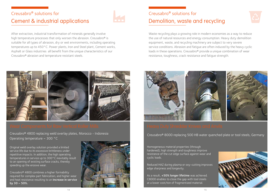Waste recycling plays a growing role in modern economies as a way to reduce the use of natural resources and energy consumption. Heavy duty demolition equipment, waste, and recycling machinery are subject to very severe service conditions. Abrasion and fatigue are often induced by the heavy cyclic loads in these operations. Creusabro® provide a unique combination of wear resistance, toughness, crack resistance and fatigue strength.



• Creusabro® 8000 replacing 500 HB water quenched plate or tool steels, Germany

# Creusabro® solutions for Demolition, waste and recycling

• Homogeneous material properties (through hardened), high strength and toughness improve resistance of the cut edge surface against wear and • cyclic loads.

Reduced HAZ during plasma or oxy-cutting improves edge sharpness and longevity.

As a result, +50% longer lifetime was achieved. C8000 enables to close the gap with tool steels at a lower cost/ton of fragmentized material.





After extraction, industrial transformation of minerals generally involve high temperature processes that only worsen the abrasion. Creusabro® is suitable for all types of abrasion, dry or wet environments, including operating temperatures up to 450°C. Power plants, Iron and Steel plant, Cement works, Asphalt or Glass industries all benefit from the unique characteristics of our Creusabro® abrasion and temperature resistant steels.



• Creusabro® 4800 replacing weld overlay plates, Morocco - Indonesia • Operating temperature ~ 300 °C

## Creusabro® solutions for Cement & industrial applications



Original weld overlay solution provided a limited service life due to its excessive brittleness under repetitive impacts. In addition, the high operating temperatures in service up to 300°C inevitably result to an opening of existing surface cracks, thereby speeding up the erosive wear.

Creusabro® 4800 combines a higher formability required for complex part fabrication, and higher wear and heat resistance resulting to an increase in service by 30 – 50%.